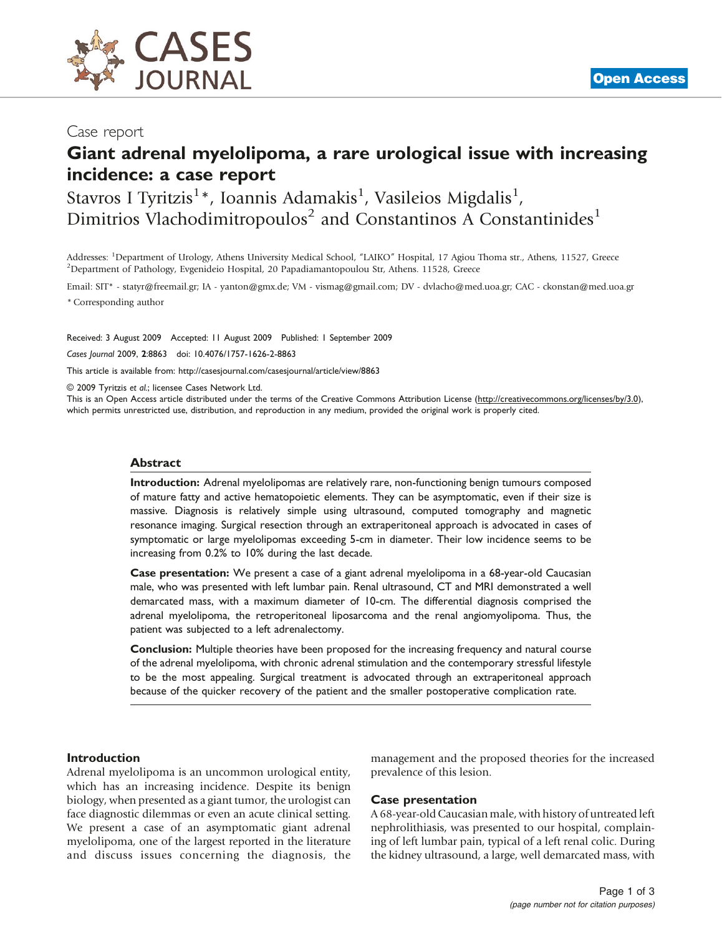

## Giant adrenal myelolipoma, a rare urological issue with increasing incidence: a case report

## Stavros I Tyritzis<sup>1</sup>\*, Ioannis Adamakis<sup>1</sup>, Vasileios Migdalis<sup>1</sup>, Dimitrios Vlachodimitropoulos<sup>2</sup> and Constantinos A Constantinides<sup>1</sup>

Addresses: <sup>1</sup>Department of Urology, Athens University Medical School, "LAIKO" Hospital, 17 Agiou Thoma str., Athens, 11527, Greece<br><sup>2</sup>Department of Pathology, Evgenidejo Hospital, 20 Papadiamantopoulou Str. Athens, 11528, <sup>2</sup>Department of Pathology, Evgenideio Hospital, 20 Papadiamantopoulou Str, Athens. 11528, Greece

Email: SIT\* - [statyr@freemail.gr](mailto:statyr@freemail.gr); IA - [yanton@gmx.de](mailto:yanton@gmx.de); VM - [vismag@gmail.com;](mailto:vismag@gmail.com) DV - [dvlacho@med.uoa.gr;](mailto:dvlacho@med.uoa.gr) CAC - [ckonstan@med.uoa.gr](mailto:ckonstan@med.uoa.gr) \* Corresponding author

Received: 3 August 2009 Accepted: 11 August 2009 Published: 1 September 2009

Cases Journal 2009, 2:8863 doi: 10.4076/1757-1626-2-8863

This article is available from:<http://casesjournal.com/casesjournal/article/view/8863>

© 2009 Tyritzis et al.; licensee Cases Network Ltd.

This is an Open Access article distributed under the terms of the Creative Commons Attribution License [\(http://creativecommons.org/licenses/by/3.0\)](http://creativecommons.org/licenses/by/3.0), which permits unrestricted use, distribution, and reproduction in any medium, provided the original work is properly cited.

#### Abstract

Introduction: Adrenal myelolipomas are relatively rare, non-functioning benign tumours composed of mature fatty and active hematopoietic elements. They can be asymptomatic, even if their size is massive. Diagnosis is relatively simple using ultrasound, computed tomography and magnetic resonance imaging. Surgical resection through an extraperitoneal approach is advocated in cases of symptomatic or large myelolipomas exceeding 5-cm in diameter. Their low incidence seems to be increasing from 0.2% to 10% during the last decade.

Case presentation: We present a case of a giant adrenal myelolipoma in a 68-year-old Caucasian male, who was presented with left lumbar pain. Renal ultrasound, CT and MRI demonstrated a well demarcated mass, with a maximum diameter of 10-cm. The differential diagnosis comprised the adrenal myelolipoma, the retroperitoneal liposarcoma and the renal angiomyolipoma. Thus, the patient was subjected to a left adrenalectomy.

Conclusion: Multiple theories have been proposed for the increasing frequency and natural course of the adrenal myelolipoma, with chronic adrenal stimulation and the contemporary stressful lifestyle to be the most appealing. Surgical treatment is advocated through an extraperitoneal approach because of the quicker recovery of the patient and the smaller postoperative complication rate.

#### Introduction

Adrenal myelolipoma is an uncommon urological entity, which has an increasing incidence. Despite its benign biology, when presented as a giant tumor, the urologist can face diagnostic dilemmas or even an acute clinical setting. We present a case of an asymptomatic giant adrenal myelolipoma, one of the largest reported in the literature and discuss issues concerning the diagnosis, the management and the proposed theories for the increased prevalence of this lesion.

#### Case presentation

A 68-year-old Caucasian male, with history of untreated left nephrolithiasis, was presented to our hospital, complaining of left lumbar pain, typical of a left renal colic. During the kidney ultrasound, a large, well demarcated mass, with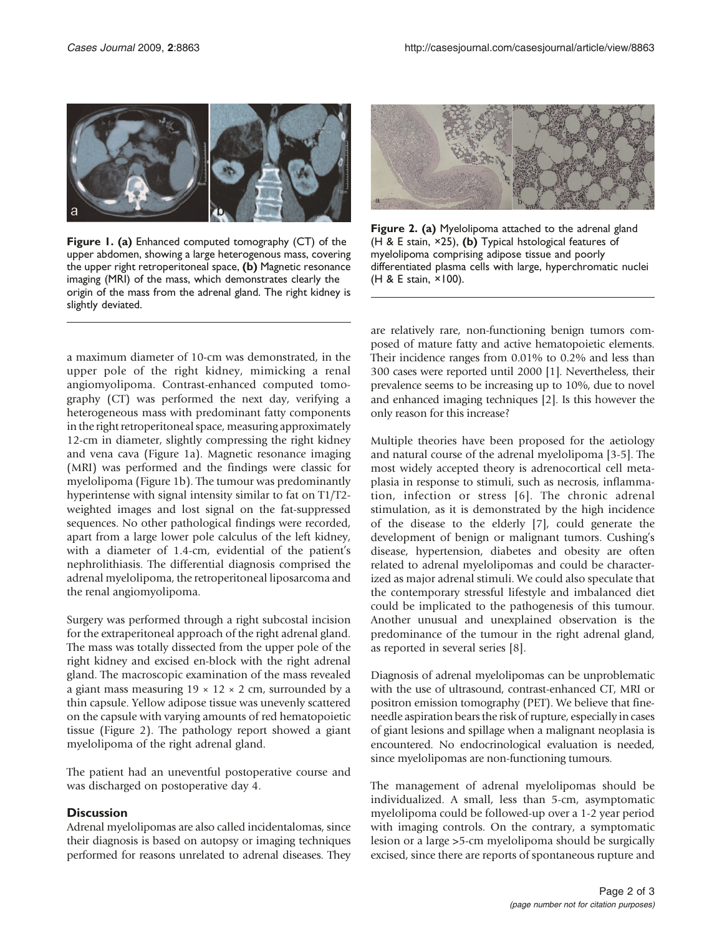

Figure 1. (a) Enhanced computed tomography (CT) of the upper abdomen, showing a large heterogenous mass, covering the upper right retroperitoneal space, (b) Magnetic resonance imaging (MRI) of the mass, which demonstrates clearly the origin of the mass from the adrenal gland. The right kidney is slightly deviated.

a maximum diameter of 10-cm was demonstrated, in the upper pole of the right kidney, mimicking a renal angiomyolipoma. Contrast-enhanced computed tomography (CT) was performed the next day, verifying a heterogeneous mass with predominant fatty components in the right retroperitoneal space, measuring approximately 12-cm in diameter, slightly compressing the right kidney and vena cava (Figure 1a). Magnetic resonance imaging (MRI) was performed and the findings were classic for myelolipoma (Figure 1b). The tumour was predominantly hyperintense with signal intensity similar to fat on T1/T2 weighted images and lost signal on the fat-suppressed sequences. No other pathological findings were recorded, apart from a large lower pole calculus of the left kidney, with a diameter of 1.4-cm, evidential of the patient's nephrolithiasis. The differential diagnosis comprised the adrenal myelolipoma, the retroperitoneal liposarcoma and the renal angiomyolipoma.

Surgery was performed through a right subcostal incision for the extraperitoneal approach of the right adrenal gland. The mass was totally dissected from the upper pole of the right kidney and excised en-block with the right adrenal gland. The macroscopic examination of the mass revealed a giant mass measuring  $19 \times 12 \times 2$  cm, surrounded by a thin capsule. Yellow adipose tissue was unevenly scattered on the capsule with varying amounts of red hematopoietic tissue (Figure 2). The pathology report showed a giant myelolipoma of the right adrenal gland.

The patient had an uneventful postoperative course and was discharged on postoperative day 4.

### **Discussion**

Adrenal myelolipomas are also called incidentalomas, since their diagnosis is based on autopsy or imaging techniques performed for reasons unrelated to adrenal diseases. They



Figure 2. (a) Myelolipoma attached to the adrenal gland (H & E stain,  $\times$ 25), (b) Typical hstological features of myelolipoma comprising adipose tissue and poorly differentiated plasma cells with large, hyperchromatic nuclei (H & E stain, ×100).

are relatively rare, non-functioning benign tumors composed of mature fatty and active hematopoietic elements. Their incidence ranges from 0.01% to 0.2% and less than 300 cases were reported until 2000 [\[1\]](#page-2-0). Nevertheless, their prevalence seems to be increasing up to 10%, due to novel and enhanced imaging techniques [[2](#page-2-0)]. Is this however the only reason for this increase?

Multiple theories have been proposed for the aetiology and natural course of the adrenal myelolipoma [\[3-5\]](#page-2-0). The most widely accepted theory is adrenocortical cell metaplasia in response to stimuli, such as necrosis, inflammation, infection or stress [[6](#page-2-0)]. The chronic adrenal stimulation, as it is demonstrated by the high incidence of the disease to the elderly [\[7](#page-2-0)], could generate the development of benign or malignant tumors. Cushing's disease, hypertension, diabetes and obesity are often related to adrenal myelolipomas and could be characterized as major adrenal stimuli. We could also speculate that the contemporary stressful lifestyle and imbalanced diet could be implicated to the pathogenesis of this tumour. Another unusual and unexplained observation is the predominance of the tumour in the right adrenal gland, as reported in several series [\[8\]](#page-2-0).

Diagnosis of adrenal myelolipomas can be unproblematic with the use of ultrasound, contrast-enhanced CT, MRI or positron emission tomography (PET). We believe that fineneedle aspiration bears the risk of rupture, especially in cases of giant lesions and spillage when a malignant neoplasia is encountered. No endocrinological evaluation is needed, since myelolipomas are non-functioning tumours.

The management of adrenal myelolipomas should be individualized. A small, less than 5-cm, asymptomatic myelolipoma could be followed-up over a 1-2 year period with imaging controls. On the contrary, a symptomatic lesion or a large >5-cm myelolipoma should be surgically excised, since there are reports of spontaneous rupture and